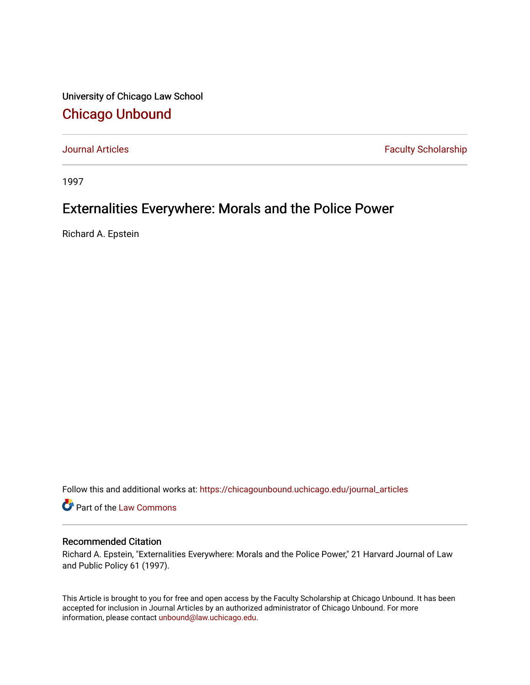University of Chicago Law School [Chicago Unbound](https://chicagounbound.uchicago.edu/)

[Journal Articles](https://chicagounbound.uchicago.edu/journal_articles) **Faculty Scholarship Faculty Scholarship** 

1997

## Externalities Everywhere: Morals and the Police Power

Richard A. Epstein

Follow this and additional works at: [https://chicagounbound.uchicago.edu/journal\\_articles](https://chicagounbound.uchicago.edu/journal_articles?utm_source=chicagounbound.uchicago.edu%2Fjournal_articles%2F1253&utm_medium=PDF&utm_campaign=PDFCoverPages) 

Part of the [Law Commons](http://network.bepress.com/hgg/discipline/578?utm_source=chicagounbound.uchicago.edu%2Fjournal_articles%2F1253&utm_medium=PDF&utm_campaign=PDFCoverPages)

## Recommended Citation

Richard A. Epstein, "Externalities Everywhere: Morals and the Police Power," 21 Harvard Journal of Law and Public Policy 61 (1997).

This Article is brought to you for free and open access by the Faculty Scholarship at Chicago Unbound. It has been accepted for inclusion in Journal Articles by an authorized administrator of Chicago Unbound. For more information, please contact [unbound@law.uchicago.edu](mailto:unbound@law.uchicago.edu).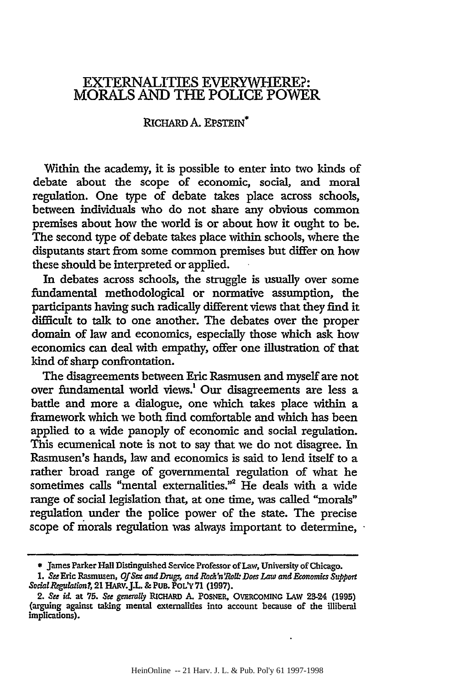## EXTERNALITIES EVERYWHERE?: MORALS AND THE POLICE POWER

## RICHARD **A. EPSTEIN<sup>\*</sup>**

Within the academy, it is possible to enter into two kinds of debate about the scope of economic, social, and moral regulation. One type of debate takes place across schools, between individuals who do not share any obvious common premises about how the world is or about how it ought to be. The second type of debate takes place within schools, where the disputants start from some common premises but differ on how these should be interpreted or applied.

In debates across schools, the struggle is usually over some fundamental methodological or normative assumption, the participants having such radically different views that they find it difficult to talk to one another. The debates over the proper domain of law and economics, especially those which ask how economics can deal with empathy, offer one illustration of that kind of sharp confrontation.

The disagreements between Eric Rasmusen and myself are not over fundamental world views.! Our disagreements are less a battle and more a dialogue, one which takes place within a framework which we both find comfortable and which has been applied to a wide panoply of economic and social regulation. This ecumenical note is not to say that we do not disagree. In Rasmusen's hands, law and economics is said to lend itself to a rather broad range of governmental regulation of what he sometimes calls "mental externalities."2 He deals with a wide range of social legislation that, at one time, was called "morals" regulation under the police power of the state. The precise scope of morals regulation was always important to determine,

**<sup>\*</sup>** James Parker Hall Distinguished Service Professor of Law, University of Chicago.

<sup>1.</sup> *See* Eric Rasmusen, *Of Sex and* Drug, *and Rock'n'Roll: Does Law and Economics* Support *Social Reguation?,* 21 HARv.J.L. **&** PuB. PoLY **71** (1997).

<sup>2.</sup> *See* id. at **75.** *See generally* RIcHARD **A.** POSNER, OVERCOMING LAW 23-24 (1995) (arguing against taking mental externalities into account because of the illiberal implications).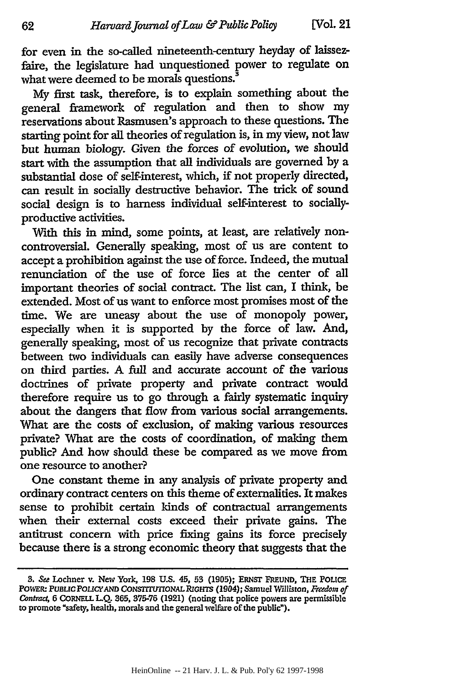for even in the so-called nineteenth-century heyday of laissezfaire, the legislature had unquestioned power to regulate on what were deemed to be morals questions.<sup>3</sup>

My first task, therefore, is to explain something about the general framework of regulation and then to show my reservations about Rasmusen's approach to these questions. The starting point for all theories of regulation is, in my view, not law but human biology. Given the forces of evolution, we should start with the assumption that all individuals are governed by a substantial dose of self-interest, which, if not properly directed, can result in socially destructive behavior. The trick of sound social design is to harness individual self-interest to sociallyproductive activities.

With this in mind, some points, at least, are relatively noncontroversial. Generally speaking, most of us are content to accept a prohibition against the use of force. Indeed, the mutual renunciation of the use of force lies at the center of all important theories of social contract. The list can, I think, be extended. Most of us want to enforce most promises most of the time. We are uneasy about the use of monopoly power, especially when it is supported **by** the force of law. And, generally speaking, most of us recognize that private contracts between two individuals can easily have adverse consequences on third parties. **A** full and accurate account of the various doctrines of private property and private contract would therefore require us to go through a **fairly** systematic inquiry about the dangers that flow from various social arrangements. What are the costs of exclusion, of making various resources private? What are the costs of coordination, of making them public? And how should these be compared as we move from one resource to another?

One constant theme in any analysis of private property and ordinary contract centers on this theme of externalities. It makes sense to prohibit certain kinds of contractual arrangements when their external costs exceed their private gains. The antitrust concern with price fixing gains its force precisely because there is a strong economic theory that suggests that the

*<sup>3.</sup> See* Lochner v. New York, **198 U.S.** 45, **53 (1905); ERNST FREUND, THE POLIcE** POWER: PUBLIC POLICY AND CONSTITUTIONAL RIGHTS (1904); Samuel Williston, *Freedom of Contract 6* **CORNELL LQ. 365, 375-76** (1921) (noting that police powers are permissible to promote "safety, health, morals and the general welfare of the public").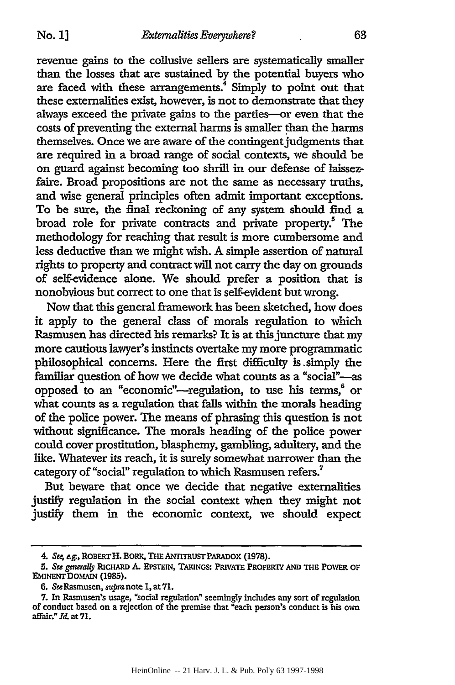revenue gains to the collusive sellers are systematically smaller than the losses that are sustained by the potential buyers who are faced with these arrangements.<sup>4</sup> Simply to point out that these externalities exist, however, is not to demonstrate that they always exceed the private gains to the parties-or even that the costs of preventing the external harms is smaller than the harms themselves. Once we are aware of the contingent judgments that are required in a broad range of social contexts, we should be on guard against becoming too shrill in our defense of laissezfaire. Broad propositions are not the same as necessary truths, and wise general principles often admit important exceptions. To be sure, the final reckoning of any system should find a broad role for private contracts and private property.<sup>5</sup> The methodology for reaching that result is more cumbersome and less deductive than we might wish. A simple assertion of natural rights to property and contract will not carry the day on grounds of self-evidence alone. We should prefer a position that is nonobvious but correct to one that is self-evident but wrong.

Now that this general framework has been sketched, how does it apply to the general class of morals regulation to which Rasmusen has directed his remarks? It is at this juncture that my more cautious lawyer's instincts overtake my more programmatic philosophical concerns. Here the first difficulty is .simply the familiar question of how we decide what counts as a "social"-as opposed to an "economic"—regulation, to use his terms,<sup>6</sup> or what counts as a regulation that falls within the morals heading of the police power. The means of phrasing this question is not without significance. The morals heading of the police power could cover prostitution, blasphemy, gambling, adultery, and the like. Whatever its reach, it is surely somewhat narrower than the category of "social" regulation to which Rasmusen refers.<sup>7</sup>

But beware that once we decide that negative externalities justify regulation in the social context when they might not justify them in the economic context, we should expect

<sup>4.</sup> Se; *g.,* ROBERTH. **BORM, THEANITRuSTPARADOX (1978).**

*<sup>5.</sup> See generally* **RICHARD** *A.* **EPSTEIN, TAKINGS: PRIVATE** PROPERTY **AND THE** PONWER **OF EMINENTDOMAIN (1985).**

**<sup>6.</sup>** SaRasmusen, supranote **1,** at7l.

<sup>7.</sup> In Rasmusen's usage, "social regulation" seemingly includes any sort of regulation of conduct based on a rejection of the premise that "each person's conduct is his own affair." *Id.* at **71.**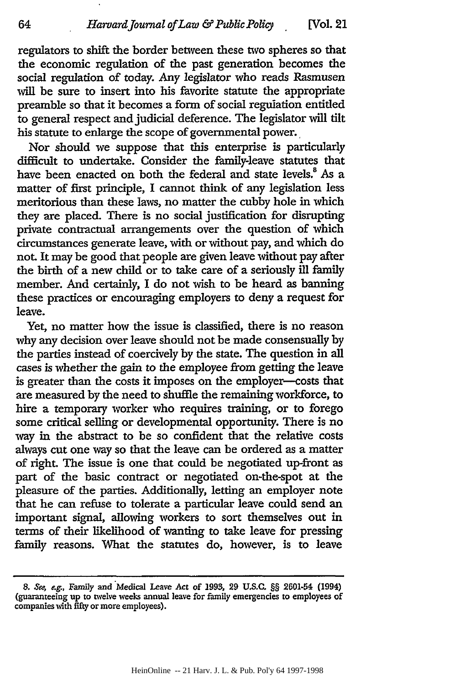regulators to shift the border between these two spheres so that the economic regulation of the past generation becomes the social regulation of today. Any legislator who reads Rasmusen will be sure to insert into his favorite statute the appropriate preamble so that it becomes a form of social regulation entitled to general respect and judicial deference. The legislator will tilt his statute to enlarge the scope of governmental power.

Nor should we suppose that this enterprise is particularly difficult to undertake. Consider the family-leave statutes that have been enacted on both the federal and state levels.<sup>8</sup> As a matter of first principle, I cannot think of any legislation less meritorious than these laws, no matter the cubby hole in which they are placed. There is no social justification for disrupting private contractual arrangements over the question of which circumstances generate leave, with or without pay, and which do not. It may be good that people are given leave without pay after the birth of a new child or to take care of a seriously ill family member. And certainly, I do not wish to be heard as banning these practices or encouraging employers to deny a request for leave.

Yet, no matter how the issue is classified, there is no reason why any decision over leave should not be made consensually **by** the parties instead of coercively **by** the state. The question in all cases is whether the gain to the employee from getting the leave is greater than the costs it imposes on the employer-costs that are measured by the need to shuffle the remaining workforce, to hire a temporary worker who requires training, or to forego some critical selling or developmental opportunity. There is no way in the abstract to be so confident that the relative costs always cut one way so that the leave can be ordered as a matter of right. The issue is one that could be negotiated up-front as part of the basic contract or negotiated on-the-spot at the pleasure of the parties. Additionally, letting an employer note that he can refuse to tolerate a particular leave could send an important signal, allowing workers to sort themselves out in terms of their likelihood of wanting to take leave for pressing family reasons. What the statutes do, however, is to leave

**<sup>8.</sup>** *Se4 eg.,* Family and Medical Leave Act of **1993, 29 U.S.C. §§** 2601-54 (1994) (guaranteeing up to twelve weeks annual leave for family emergencies to employees of companies with fifty or more employees).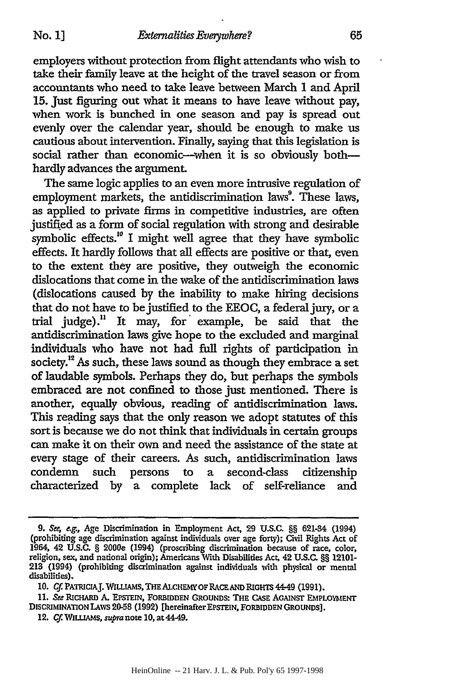employers without protection from flight attendants who wish to take their family leave at the height of the travel season or from accountants who need to take leave between March 1 and April 15. Just figuring out what it means to have leave without pay, when work is bunched in one season and pay is spread out evenly over the calendar year, should be enough to make us cautious about intervention. Finally, saying that this legislation is social rather than economic-when it is so obviously bothhardly advances the argument.

The same logic applies to an even more intrusive regulation of employment markets, the antidiscrimination laws<sup>9</sup>. These laws, as applied to private firms in competitive industries, are often justified as a form of social regulation with strong and desirable symbolic effects.<sup>10</sup> I might well agree that they have symbolic effects. It hardly follows that all effects are positive or that, even to the extent they are positive, they outweigh the economic dislocations that come in the wake of the antidiscrimination laws (dislocations caused by the inability to make hiring decisions that do not have to be justified to the EEOC, a federaljury, or a trial judge)." It may, for' example, be said that the antidiscrimination laws give hope to the excluded and marginal individuals who have not had full rights of participation in society.<sup>12</sup> As such, these laws sound as though they embrace a set of laudable symbols. Perhaps they do, but perhaps the symbols embraced are not confined to those just mentioned. There is another, equally obvious, reading of antidiscrimination laws. This reading says that the only reason we adopt statutes of this sort is because we do not think that individuals in certain groups can make it on their own and need the assistance of the state at every stage of their careers. As such, antidiscrimination laws condemn such persons to a second-class citizenship characterized by a complete lack of self-reliance and

**<sup>9.</sup>** *Se, ag.,* Age Discrimination in Employment Act. **29 U.S.C.** §§ 621-34 (1994) (prohibiting age discrimination against individuals over age forty); Civil Rights Act of 1964, 42 U.S.C. § 2000e (1994) (proscribing discrimination because of race, color, religion, sex, and national origin); Americans With Disabilities Act. 42 **U.S.C.** §§ **12101- 213** (1994) (prohibiting discrimination against individuals with physical or mental disabilities).

**<sup>10.</sup> Cf. PATICIAJ. WILLIAMS,** THEALCHEMY **OF RACEAND RIGHTS 4-49** (1991).

*<sup>11.</sup>* See **RICHARD A. EPSTEIN,** FORBIDDEN GROUNDS: THE CASE AGAINST EMPLOYMENT **DISCRIMINATION** LAWS **2058 (1992)** [hereinafter EPSTEIN, FORBIDDEN **GROUNDS].**

**<sup>12.</sup> Cf. WIaLAMs,** supra note **10,** at 44-49.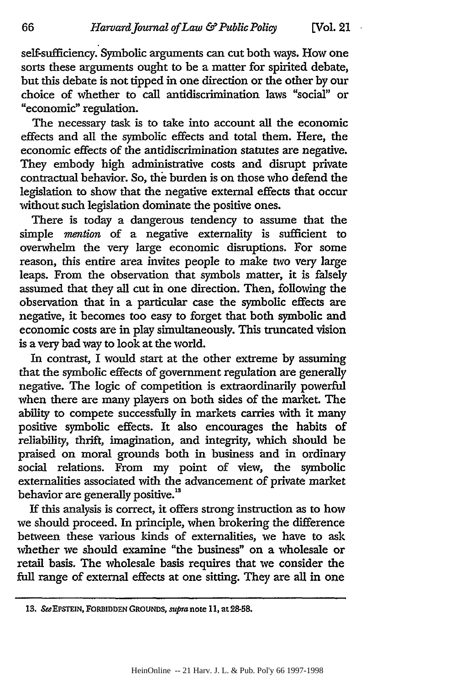self-sufficiency. Symbolic arguments can cut both ways. How one sorts these arguments ought to be a matter for spirited debate, but this debate is not tipped in one direction or the other by our choice of whether to call antidiscrimination laws "social" or "economic" regulation.

The necessary task is to take into account all the economic effects and all the symbolic effects and total them. Here, the economic effects of the antidiscrimination statutes are negative. They embody high administrative costs and disrupt private contractual behavior. So, the burden is on those who defend the legislation to show that the negative external effects that occur without such legislation dominate the positive ones.

There is today a dangerous tendency to assume that the simple *mention* of a negative externality is sufficient to overwhelm the very large economic disruptions. For some reason, this entire area invites people to make two very large leaps. From the observation that symbols matter, it is falsely assumed that they all cut in one direction. Then, following the observation that in a particular case the symbolic effects are negative, it becomes too easy to forget that both symbolic and economic costs are in play simultaneously. This truncated vision is a very bad way to look at the world.

In contrast, I would start at the other extreme by assuming that the symbolic effects of government regulation are generally negative. The logic of competition is extraordinarily powerful when there are many players on both sides of the market. The ability to compete successfully in markets carries with it many positive symbolic effects. It also encourages the habits of reliability, thrift, imagination, and integrity, which should be praised on moral grounds both in business and in ordinary social relations. From my point of view, the symbolic externalities associated with the advancement of private market behavior are generally positive.<sup>13</sup>

If this analysis is correct, it offers strong instruction as to how we should proceed. In principle, when brokering the difference between these various kinds of externalities, we have to ask whether we should examine "the business" on a wholesale or retail basis. The wholesale basis requires that we consider the full range of external effects at one sitting. They are all in one

**<sup>13.</sup> SeeEPSTEIN, FORBIDDEN GROUNDS,** *supra* note **11,** at **28-58.**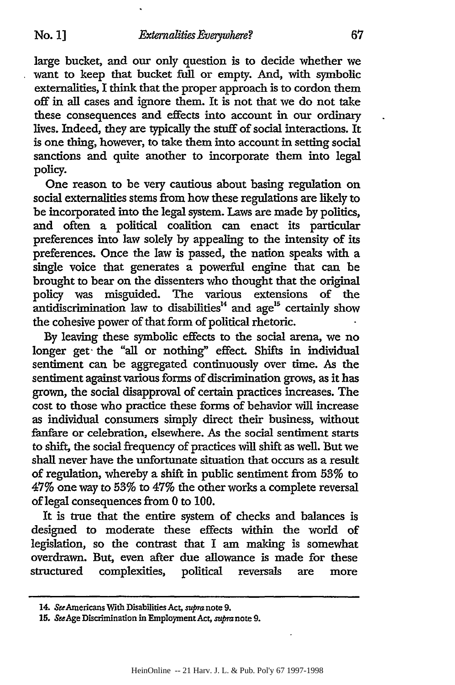large bucket, and our only question is to decide whether we want to keep that bucket full or empty. And, with symbolic externalities, I think that the proper approach is to cordon them off in all cases and ignore them. It is not that we do not take these consequences and effects into account in our ordinary lives. Indeed, they are typically the stuff of social interactions. It is one thing, however, to take them into account in setting social sanctions and quite another to incorporate them into legal policy.

One reason to be very cautious about basing regulation on social externalities stems from how these regulations are likely to be incorporated into the legal system. Laws are made by politics, and often a political coalition can enact its particular preferences into law solely by appealing to the intensity of its preferences. Once the law is passed, the nation speaks with a single voice that generates a powerful engine that can be brought to bear on the dissenters who thought that the original policy was misguided. The various extensions of the antidiscrimination law to disabilities<sup>14</sup> and age<sup>15</sup> certainly show the cohesive power of that form of political rhetoric.

**By** leaving these symbolic effects to the social arena, we no longer get- the "all or nothing" effect. Shifts in individual sentiment can be aggregated continuously over time. As the sentiment against various forms of discrimination grows, as it has grown, the social disapproval of certain practices increases. The cost to those who practice these forms of behavior will increase as individual consumers simply direct their business, without fanfare or celebration, elsewhere. As the social sentiment starts to shift, the social frequency of practices will shift as well. But we shall never have the unfortunate situation that occurs as a result of regulation, whereby a shift in public sentiment from **53%** to 47% one way to **53%** to 47% the other works a complete reversal of legal consequences from 0 to 100.

It is true that the entire system of checks and balances is designed to moderate these effects within the world of legislation, so the contrast that I am making is somewhat overdrawn. But, even after due allowance is made for these structured complexities, political reversals are more

<sup>14.</sup> SeeAmericans With Disabilities Act, *supra* note **9.**

*<sup>15.</sup>* SeeAge Discrimination in Employment Act, *supra* note **9.**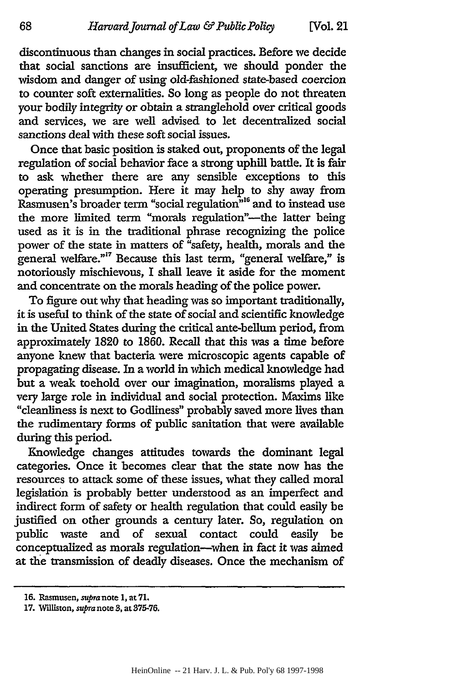discontinuous than changes in social practices. Before we decide that social sanctions are insufficient, we should ponder the wisdom and danger of using old-fashioned state-based coercion to counter soft externalities. So long as people do not threaten your bodily integrity or obtain a stranglehold over critical goods and services, we are well advised to let decentralized social sanctions deal with these soft social issues.

Once that basic position is staked out, proponents of the legal regulation of social behavior face a strong uphill battle. It is fair to ask whether there are any sensible exceptions to this operating presumption. Here it may help to shy away from Rasmusen's broader term "social regulation<sup>" 16</sup> and to instead use the more limited term "morals regulation"--- the latter being used as it is in the traditional phrase recognizing the police power of the state in matters of "safety, health, morals and the general welfare."17 Because this last term, "general welfare," is notoriously mischievous, I shall leave it aside for the moment and concentrate on the morals heading of the police power.

To figure out why that heading was so important traditionally, it is useful to think of the state of social and scientific knowledge in the United States during the critical ante-bellum period, from approximately **1820** to **1860.** Recall that this was a time before anyone knew that bacteria were microscopic agents capable of propagating disease. In a world in which medical knowledge had but a weak toehold over our imagination, moralisms played a very large role in individual and social protection. Maxims like "cleanliness is next to Godliness" probably saved more lives than the rudimentary forms of public sanitation that were available during this period.

Knowledge changes attitudes towards the dominant legal categories. Once it becomes clear that the state now has the resources to attack some of these issues, what they called moral legislation is probably better understood as an imperfect and indirect form of safety or health regulation that could easily be justified on other grounds a century later. So, regulation on public waste and of sexual contact could easily be conceptualized as morals regulation-when in fact it was aimed at the transmission of deadly diseases. Once the mechanism of

**<sup>16.</sup>** Rasmusen, supranote **1,** at **71.**

**<sup>17.</sup> Williston, supra note 3, at 375-76.**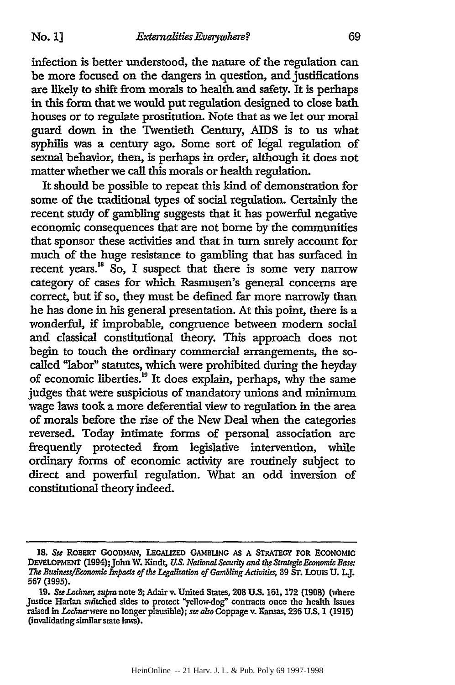infection is better understood, the nature of the regulation can be more focused on the dangers in question, and justifications are likely to shift from morals to health and safety. It is perhaps in this form that we would put regulation designed to close bath houses or to regulate prostitution. Note that as we let our moral guard down in the Twentieth Century, AIDS is to us what syphilis was a century ago. Some sort of legal regulation of sexual behavior, then, is perhaps in order, although it does not matter whether we call this morals or health regulation.

It should be possible to repeat this kind of demonstration for some of the traditional types of social regulation. Certainly the recent study of gambling suggests that it has powerful negative economic consequences that are not borne by the communities that sponsor these activities and that in turn surely account for much of the huge resistance to gambling that has surfaced in recent years.<sup>18</sup> So, I suspect that there is some very narrow category of cases for which Rasmusen's general concerns are correct, but if so, they must be defined **far** more narrowly than he has done in his general presentation. At this point, there is a wonderful, if improbable, congruence between modem social and classical constitutional theory. This approach does not begin to touch the ordinary commercial arrangements, the socalled "labor" statutes, which were prohibited during the heyday of economic liberties.'9 It does explain, perhaps, why the same judges that were suspicious of mandatory unions and minimum wage laws took a more deferential view to regulation in the area of morals before the rise of the New Deal when the categories reversed. Today intimate forms of personal association are frequently protected from legislative intervention, while ordinary forms of economic activity are routinely subject to direct and powerful regulation. What an odd inversion of constitutional theory indeed.

<sup>18.</sup> See ROBERT GOODMAN, LEGALIZED GAMBLING AS A STRATEGY FOR ECONOMIC DEVELOPMENT (1994); John W. Kindt, U.S. National Security and the Strategic Economic Base: *The BufnesslEconomic Impacts of the Legalization of Gambling Activities,* **89 Sr. Louis U.** L.J. **567 (1995).**

**<sup>19.</sup>** *See Lochne, supra* note **3;** Adair v. United States, 208 **U.S. 161,** 172 **(1908)** (where Justice Harlan switched sides to protect "yellowdog" contracts once the health issues raised in Lodhnerwere no longer plausible); *see also* Coppage v. Kansas, **286 U.S.** 1 **(1915)** (invalidating similar state laws).